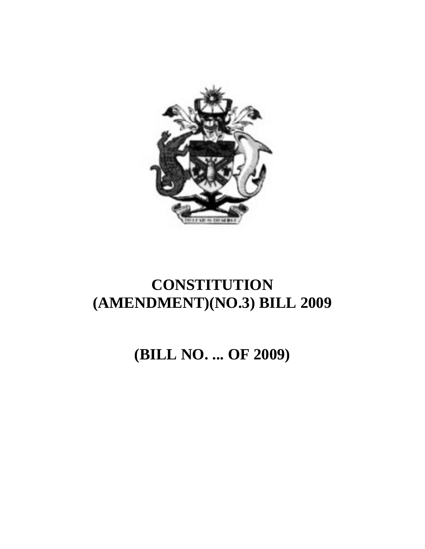

# **CONSTITUTION (AMENDMENT)(NO.3) BILL 2009**

**(BILL NO. ... OF 2009)**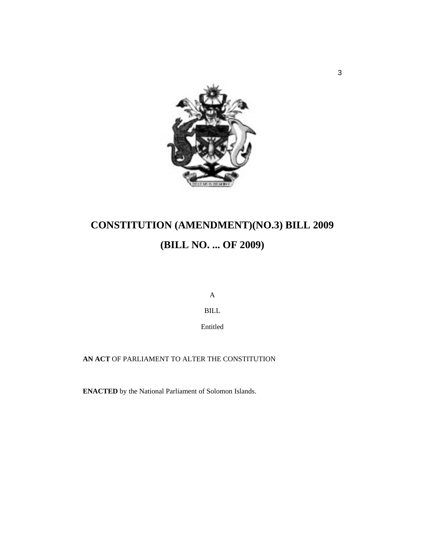

# **CONSTITUTION (AMENDMENT)(NO.3) BILL 2009 (BILL NO. ... OF 2009)**

A

BILL

Entitled

**AN ACT** OF PARLIAMENT TO ALTER THE CONSTITUTION

**ENACTED** by the National Parliament of Solomon Islands.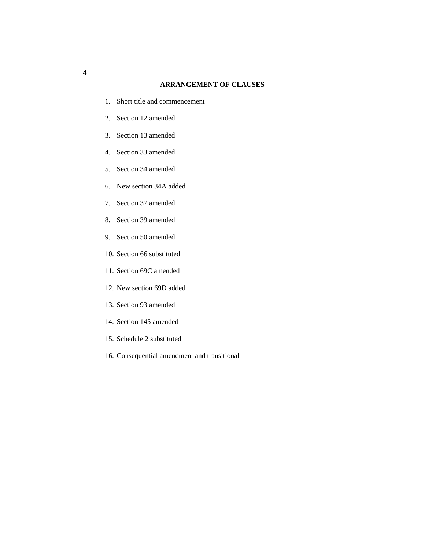## **ARRANGEMENT OF CLAUSES**

- 1. Short title and commencement
- 2. Section 12 amended
- 3. Section 13 amended
- 4. Section 33 amended
- 5. Section 34 amended
- 6. New section 34A added
- 7. Section 37 amended
- 8. Section 39 amended
- 9. Section 50 amended
- 10. Section 66 substituted
- 11. Section 69C amended
- 12. New section 69D added
- 13. Section 93 amended
- 14. Section 145 amended
- 15. Schedule 2 substituted
- 16. Consequential amendment and transitional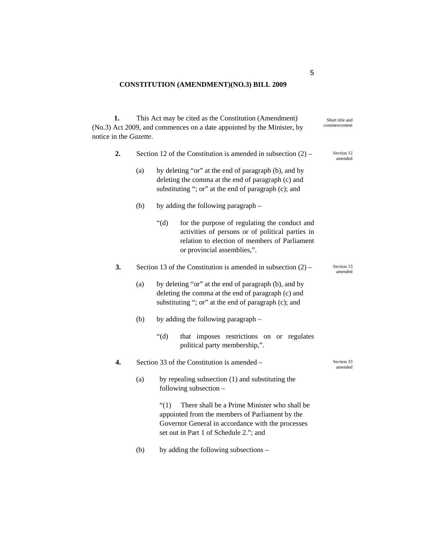# **CONSTITUTION (AMENDMENT)(NO.3) BILL 2009**

| 1.<br>notice in the Gazette. | This Act may be cited as the Constitution (Amendment)<br>Short title and<br>commencement<br>(No.3) Act 2009, and commences on a date appointed by the Minister, by |                                                                                                                                                                    |                                                                                                                                                                                                |  |  |  |  |
|------------------------------|--------------------------------------------------------------------------------------------------------------------------------------------------------------------|--------------------------------------------------------------------------------------------------------------------------------------------------------------------|------------------------------------------------------------------------------------------------------------------------------------------------------------------------------------------------|--|--|--|--|
| 2.                           | Section 12 of the Constitution is amended in subsection $(2)$ –                                                                                                    | Section 12<br>amended                                                                                                                                              |                                                                                                                                                                                                |  |  |  |  |
|                              | (a)                                                                                                                                                                | by deleting "or" at the end of paragraph (b), and by<br>deleting the comma at the end of paragraph (c) and<br>substituting "; or" at the end of paragraph (c); and |                                                                                                                                                                                                |  |  |  |  |
|                              | (b)                                                                                                                                                                | by adding the following paragraph –                                                                                                                                |                                                                                                                                                                                                |  |  |  |  |
|                              |                                                                                                                                                                    | " $(d)$ "                                                                                                                                                          | for the purpose of regulating the conduct and<br>activities of persons or of political parties in<br>relation to election of members of Parliament<br>or provincial assemblies,".              |  |  |  |  |
| 3.                           |                                                                                                                                                                    | Section 13 of the Constitution is amended in subsection $(2)$ –                                                                                                    | Section 13<br>amended                                                                                                                                                                          |  |  |  |  |
|                              | (a)                                                                                                                                                                |                                                                                                                                                                    |                                                                                                                                                                                                |  |  |  |  |
|                              | (b)                                                                                                                                                                | by adding the following paragraph –                                                                                                                                |                                                                                                                                                                                                |  |  |  |  |
|                              |                                                                                                                                                                    | " $(d)$ "                                                                                                                                                          | that imposes restrictions on or regulates<br>political party membership,".                                                                                                                     |  |  |  |  |
| 4.                           |                                                                                                                                                                    | Section 33 of the Constitution is amended -                                                                                                                        | Section 33<br>amended                                                                                                                                                                          |  |  |  |  |
|                              | (a)                                                                                                                                                                |                                                                                                                                                                    | by repealing subsection (1) and substituting the<br>following subsection -                                                                                                                     |  |  |  |  |
|                              |                                                                                                                                                                    | $\degree(1)$                                                                                                                                                       | There shall be a Prime Minister who shall be<br>appointed from the members of Parliament by the<br>Governor General in accordance with the processes<br>set out in Part 1 of Schedule 2."; and |  |  |  |  |
|                              | (b)                                                                                                                                                                |                                                                                                                                                                    | by adding the following subsections -                                                                                                                                                          |  |  |  |  |

5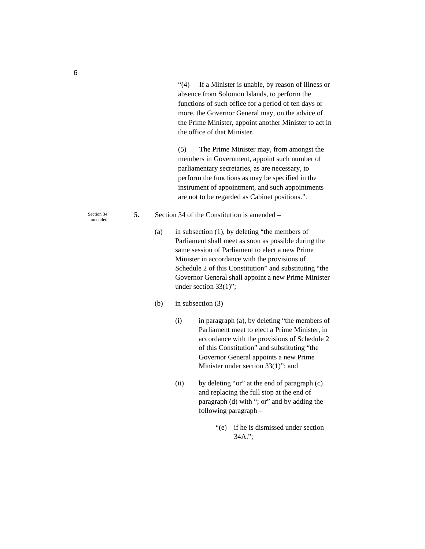"(4) If a Minister is unable, by reason of illness or absence from Solomon Islands, to perform the functions of such office for a period of ten days or more, the Governor General may, on the advice of the Prime Minister, appoint another Minister to act in the office of that Minister.

(5) The Prime Minister may, from amongst the members in Government, appoint such number of parliamentary secretaries, as are necessary, to perform the functions as may be specified in the instrument of appointment, and such appointments are not to be regarded as Cabinet positions.".

- **5.** Section 34 of the Constitution is amended
	- (a) in subsection (1), by deleting "the members of Parliament shall meet as soon as possible during the same session of Parliament to elect a new Prime Minister in accordance with the provisions of Schedule 2 of this Constitution" and substituting "the Governor General shall appoint a new Prime Minister under section 33(1)";
	- (b) in subsection  $(3)$ 
		- (i) in paragraph (a), by deleting "the members of Parliament meet to elect a Prime Minister, in accordance with the provisions of Schedule 2 of this Constitution" and substituting "the Governor General appoints a new Prime Minister under section 33(1)"; and
		- (ii) by deleting "or" at the end of paragraph (c) and replacing the full stop at the end of paragraph (d) with "; or" and by adding the following paragraph –
			- "(e) if he is dismissed under section 34A.";

Section 34 amended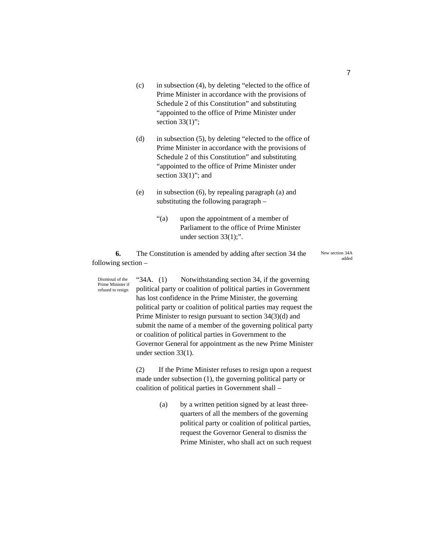- (c) in subsection (4), by deleting "elected to the office of Prime Minister in accordance with the provisions of Schedule 2 of this Constitution" and substituting "appointed to the office of Prime Minister under section  $33(1)$ ";
- (d) in subsection (5), by deleting "elected to the office of Prime Minister in accordance with the provisions of Schedule 2 of this Constitution" and substituting "appointed to the office of Prime Minister under section 33(1)"; and
- (e) in subsection (6), by repealing paragraph (a) and substituting the following paragraph –
	- "(a) upon the appointment of a member of Parliament to the office of Prime Minister under section 33(1);".

**6.** The Constitution is amended by adding after section 34 the following section –

New section 34A added

"34A. (1) Notwithstanding section 34, if the governing political party or coalition of political parties in Government has lost confidence in the Prime Minister, the governing political party or coalition of political parties may request the Prime Minister to resign pursuant to section 34(3)(d) and submit the name of a member of the governing political party or coalition of political parties in Government to the Governor General for appointment as the new Prime Minister under section 33(1). Dismissal of the Prime Minister if refused to resign

> (2) If the Prime Minister refuses to resign upon a request made under subsection (1), the governing political party or coalition of political parties in Government shall –

> > (a) by a written petition signed by at least threequarters of all the members of the governing political party or coalition of political parties, request the Governor General to dismiss the Prime Minister, who shall act on such request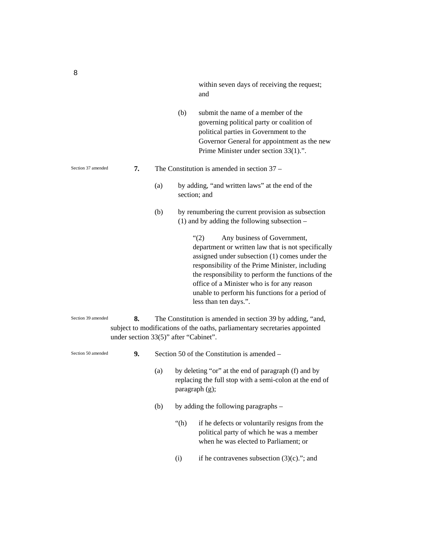within seven days of receiving the request; and

- (b) submit the name of a member of the governing political party or coalition of political parties in Government to the Governor General for appointment as the new Prime Minister under section 33(1).".
- **7.** The Constitution is amended in section 37
	- (a) by adding, "and written laws" at the end of the section; and
	- (b) by renumbering the current provision as subsection (1) and by adding the following subsection –

"(2) Any business of Government, department or written law that is not specifically assigned under subsection (1) comes under the responsibility of the Prime Minister, including the responsibility to perform the functions of the office of a Minister who is for any reason unable to perform his functions for a period of less than ten days.".

**8.** The Constitution is amended in section 39 by adding, "and, subject to modifications of the oaths, parliamentary secretaries appointed under section 33(5)" after "Cabinet". Section 39 amended

**9.** Section 50 of the Constitution is amended – Section 50 amended

- (a) by deleting "or" at the end of paragraph (f) and by replacing the full stop with a semi-colon at the end of paragraph (g);
- (b) by adding the following paragraphs
	- "(h) if he defects or voluntarily resigns from the political party of which he was a member when he was elected to Parliament; or
	- (i) if he contravenes subsection  $(3)(c)$ ."; and

Section 37 amended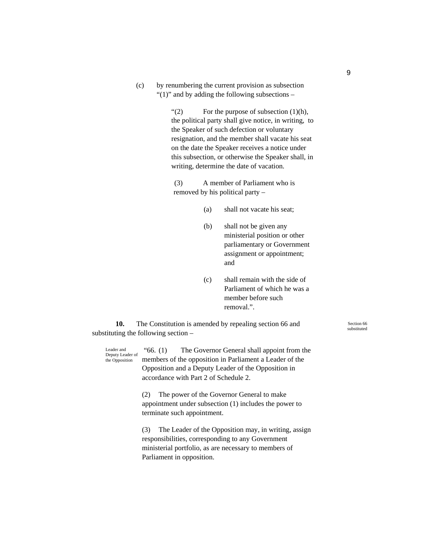(c) by renumbering the current provision as subsection " $(1)$ " and by adding the following subsections –

> $\lq(2)$  For the purpose of subsection (1)(h), the political party shall give notice, in writing, to the Speaker of such defection or voluntary resignation, and the member shall vacate his seat on the date the Speaker receives a notice under this subsection, or otherwise the Speaker shall, in writing, determine the date of vacation.

(3) A member of Parliament who is removed by his political party –

- (a) shall not vacate his seat;
- (b) shall not be given any ministerial position or other parliamentary or Government assignment or appointment; and
- (c) shall remain with the side of Parliament of which he was a member before such removal.".

**10.** The Constitution is amended by repealing section 66 and substituting the following section –

 "66. (1) The Governor General shall appoint from the members of the opposition in Parliament a Leader of the Opposition and a Deputy Leader of the Opposition in accordance with Part 2 of Schedule 2. (2) The power of the Governor General to make appointment under subsection (1) includes the power to terminate such appointment. (3) The Leader of the Opposition may, in writing, assign responsibilities, corresponding to any Government Leader and Deputy Leader of the Opposition

ministerial portfolio, as are necessary to members of Parliament in opposition.

Section 66 substituted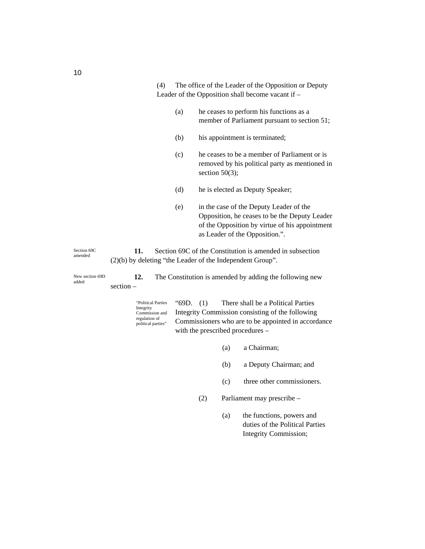|                          |                                                                                                                                |       | Leader of the Opposition shall become vacant if –                                                                                                                                        |  |  |  |
|--------------------------|--------------------------------------------------------------------------------------------------------------------------------|-------|------------------------------------------------------------------------------------------------------------------------------------------------------------------------------------------|--|--|--|
|                          |                                                                                                                                | (a)   | he ceases to perform his functions as a<br>member of Parliament pursuant to section 51;                                                                                                  |  |  |  |
|                          |                                                                                                                                | (b)   | his appointment is terminated;                                                                                                                                                           |  |  |  |
|                          |                                                                                                                                | (c)   | he ceases to be a member of Parliament or is<br>removed by his political party as mentioned in<br>section $50(3)$ ;                                                                      |  |  |  |
|                          |                                                                                                                                | (d)   | he is elected as Deputy Speaker;                                                                                                                                                         |  |  |  |
|                          |                                                                                                                                | (e)   | in the case of the Deputy Leader of the<br>Opposition, he ceases to be the Deputy Leader<br>of the Opposition by virtue of his appointment<br>as Leader of the Opposition.".             |  |  |  |
| Section 69C<br>amended   | Section 69C of the Constitution is amended in subsection<br>11.<br>$(2)(b)$ by deleting "the Leader of the Independent Group". |       |                                                                                                                                                                                          |  |  |  |
| New section 69D<br>added | 12.<br>$section -$                                                                                                             |       | The Constitution is amended by adding the following new                                                                                                                                  |  |  |  |
|                          | "Political Parties<br>Integrity<br>Commission and<br>regulation of<br>political parties"                                       | "69D. | There shall be a Political Parties<br>(1)<br>Integrity Commission consisting of the following<br>Commissioners who are to be appointed in accordance<br>with the prescribed procedures – |  |  |  |

(a) a Chairman;

(4) The office of the Leader of the Opposition or Deputy

- (b) a Deputy Chairman; and
- (c) three other commissioners.
- (2) Parliament may prescribe
	- (a) the functions, powers and duties of the Political Parties Integrity Commission;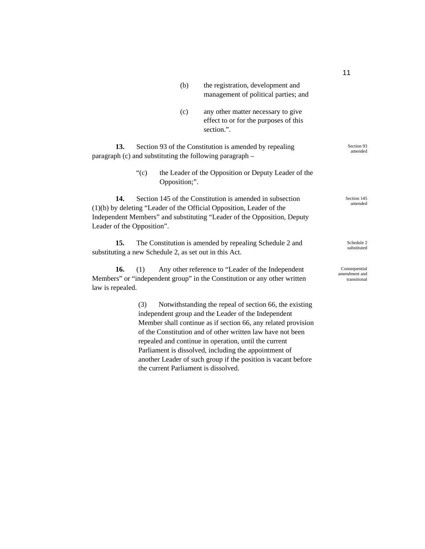|                                                                                                                                                       |                                                        | (b)                   | the registration, development and<br>management of political parties; and                                                                                                                                     |                                                |  |  |  |
|-------------------------------------------------------------------------------------------------------------------------------------------------------|--------------------------------------------------------|-----------------------|---------------------------------------------------------------------------------------------------------------------------------------------------------------------------------------------------------------|------------------------------------------------|--|--|--|
|                                                                                                                                                       |                                                        | (c)                   | any other matter necessary to give<br>effect to or for the purposes of this<br>section.".                                                                                                                     |                                                |  |  |  |
| 13.<br>paragraph (c) and substituting the following paragraph -                                                                                       | Section 93 of the Constitution is amended by repealing | Section 93<br>amended |                                                                                                                                                                                                               |                                                |  |  |  |
|                                                                                                                                                       | " $(c)$                                                | Opposition;".         | the Leader of the Opposition or Deputy Leader of the                                                                                                                                                          |                                                |  |  |  |
| 14.<br>Leader of the Opposition".                                                                                                                     |                                                        |                       | Section 145 of the Constitution is amended in subsection<br>$(1)(b)$ by deleting "Leader of the Official Opposition, Leader of the<br>Independent Members" and substituting "Leader of the Opposition, Deputy | Section 145<br>amended                         |  |  |  |
| 15.<br>The Constitution is amended by repealing Schedule 2 and<br>Schedule 2<br>substituted<br>substituting a new Schedule 2, as set out in this Act. |                                                        |                       |                                                                                                                                                                                                               |                                                |  |  |  |
| 16.<br>law is repealed.                                                                                                                               | (1)                                                    |                       | Any other reference to "Leader of the Independent<br>Members" or "independent group" in the Constitution or any other written                                                                                 | Consequential<br>amendment and<br>transitional |  |  |  |
|                                                                                                                                                       | (3)                                                    |                       | Notwithstanding the repeal of section 66, the existing<br>independent group and the Leader of the Independent<br>Member shall continue as if section 66 any related provision                                 |                                                |  |  |  |

Member shall continue as if section 66, any related provision of the Constitution and of other written law have not been repealed and continue in operation, until the current Parliament is dissolved, including the appointment of another Leader of such group if the position is vacant before the current Parliament is dissolved.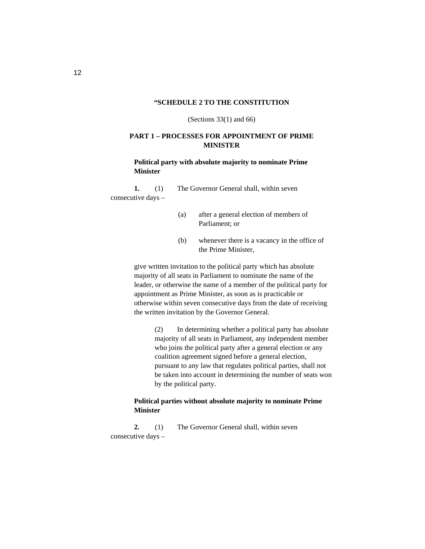#### **"SCHEDULE 2 TO THE CONSTITUTION**

(Sections 33(1) and 66)

## **PART 1 – PROCESSES FOR APPOINTMENT OF PRIME MINISTER**

## **Political party with absolute majority to nominate Prime Minister**

**1.** (1) The Governor General shall, within seven consecutive days –

- (a) after a general election of members of Parliament; or
- (b) whenever there is a vacancy in the office of the Prime Minister,

give written invitation to the political party which has absolute majority of all seats in Parliament to nominate the name of the leader, or otherwise the name of a member of the political party for appointment as Prime Minister, as soon as is practicable or otherwise within seven consecutive days from the date of receiving the written invitation by the Governor General.

> (2) In determining whether a political party has absolute majority of all seats in Parliament, any independent member who joins the political party after a general election or any coalition agreement signed before a general election, pursuant to any law that regulates political parties, shall not be taken into account in determining the number of seats won by the political party.

## **Political parties without absolute majority to nominate Prime Minister**

**2.** (1) The Governor General shall, within seven consecutive days –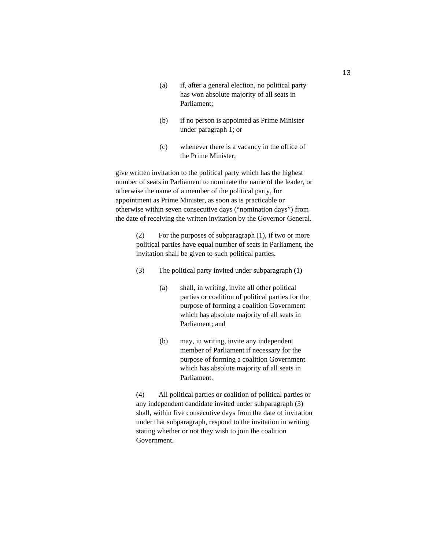- (a) if, after a general election, no political party has won absolute majority of all seats in Parliament;
- (b) if no person is appointed as Prime Minister under paragraph 1; or
- (c) whenever there is a vacancy in the office of the Prime Minister,

give written invitation to the political party which has the highest number of seats in Parliament to nominate the name of the leader, or otherwise the name of a member of the political party, for appointment as Prime Minister, as soon as is practicable or otherwise within seven consecutive days ("nomination days") from the date of receiving the written invitation by the Governor General.

> (2) For the purposes of subparagraph (1), if two or more political parties have equal number of seats in Parliament, the invitation shall be given to such political parties.

(3) The political party invited under subparagraph  $(1)$  –

- (a) shall, in writing, invite all other political parties or coalition of political parties for the purpose of forming a coalition Government which has absolute majority of all seats in Parliament; and
- (b) may, in writing, invite any independent member of Parliament if necessary for the purpose of forming a coalition Government which has absolute majority of all seats in Parliament.

(4) All political parties or coalition of political parties or any independent candidate invited under subparagraph (3) shall, within five consecutive days from the date of invitation under that subparagraph, respond to the invitation in writing stating whether or not they wish to join the coalition Government.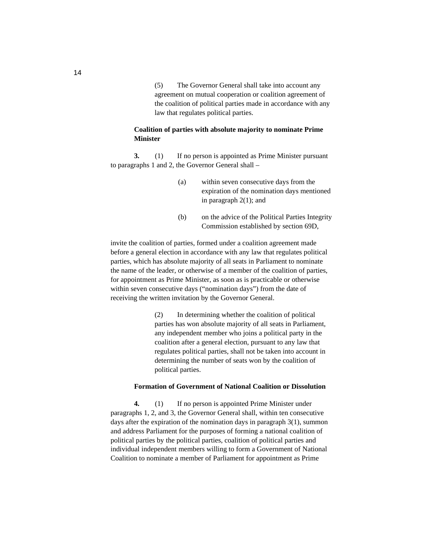(5) The Governor General shall take into account any agreement on mutual cooperation or coalition agreement of the coalition of political parties made in accordance with any law that regulates political parties.

# **Coalition of parties with absolute majority to nominate Prime Minister**

**3.** (1) If no person is appointed as Prime Minister pursuant to paragraphs 1 and 2, the Governor General shall –

- (a) within seven consecutive days from the expiration of the nomination days mentioned in paragraph 2(1); and
- (b) on the advice of the Political Parties Integrity Commission established by section 69D,

invite the coalition of parties, formed under a coalition agreement made before a general election in accordance with any law that regulates political parties, which has absolute majority of all seats in Parliament to nominate the name of the leader, or otherwise of a member of the coalition of parties, for appointment as Prime Minister, as soon as is practicable or otherwise within seven consecutive days ("nomination days") from the date of receiving the written invitation by the Governor General.

> (2) In determining whether the coalition of political parties has won absolute majority of all seats in Parliament, any independent member who joins a political party in the coalition after a general election, pursuant to any law that regulates political parties, shall not be taken into account in determining the number of seats won by the coalition of political parties.

## **Formation of Government of National Coalition or Dissolution**

**4.** (1) If no person is appointed Prime Minister under paragraphs 1, 2, and 3, the Governor General shall, within ten consecutive days after the expiration of the nomination days in paragraph 3(1), summon and address Parliament for the purposes of forming a national coalition of political parties by the political parties, coalition of political parties and individual independent members willing to form a Government of National Coalition to nominate a member of Parliament for appointment as Prime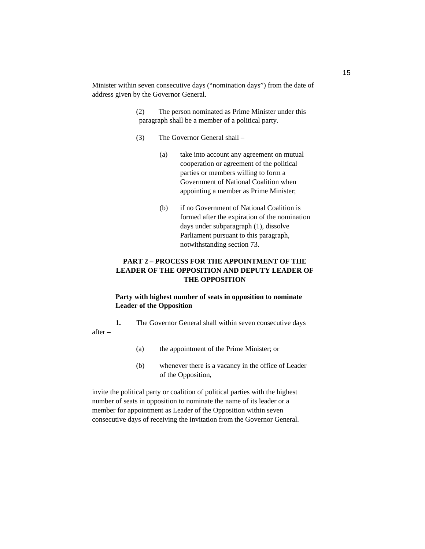Minister within seven consecutive days ("nomination days") from the date of address given by the Governor General.

> (2) The person nominated as Prime Minister under this paragraph shall be a member of a political party.

- (3) The Governor General shall
	- (a) take into account any agreement on mutual cooperation or agreement of the political parties or members willing to form a Government of National Coalition when appointing a member as Prime Minister;
	- (b) if no Government of National Coalition is formed after the expiration of the nomination days under subparagraph (1), dissolve Parliament pursuant to this paragraph, notwithstanding section 73.

# **PART 2 – PROCESS FOR THE APPOINTMENT OF THE LEADER OF THE OPPOSITION AND DEPUTY LEADER OF THE OPPOSITION**

# **Party with highest number of seats in opposition to nominate Leader of the Opposition**

**1.** The Governor General shall within seven consecutive days after –

- (a) the appointment of the Prime Minister; or
- (b) whenever there is a vacancy in the office of Leader of the Opposition,

invite the political party or coalition of political parties with the highest number of seats in opposition to nominate the name of its leader or a member for appointment as Leader of the Opposition within seven consecutive days of receiving the invitation from the Governor General.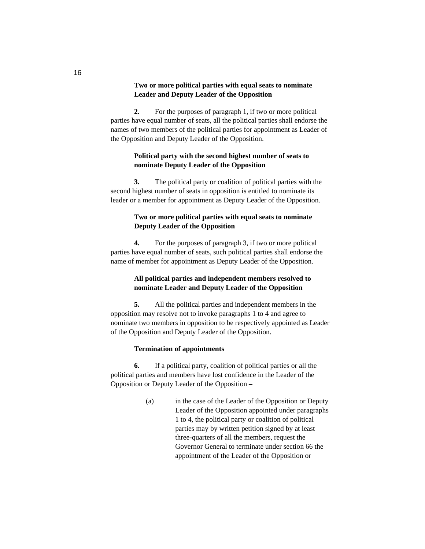## **Two or more political parties with equal seats to nominate Leader and Deputy Leader of the Opposition**

**2.** For the purposes of paragraph 1, if two or more political parties have equal number of seats, all the political parties shall endorse the names of two members of the political parties for appointment as Leader of the Opposition and Deputy Leader of the Opposition.

# **Political party with the second highest number of seats to nominate Deputy Leader of the Opposition**

**3.** The political party or coalition of political parties with the second highest number of seats in opposition is entitled to nominate its leader or a member for appointment as Deputy Leader of the Opposition.

# **Two or more political parties with equal seats to nominate Deputy Leader of the Opposition**

**4.** For the purposes of paragraph 3, if two or more political parties have equal number of seats, such political parties shall endorse the name of member for appointment as Deputy Leader of the Opposition.

# **All political parties and independent members resolved to nominate Leader and Deputy Leader of the Opposition**

**5.** All the political parties and independent members in the opposition may resolve not to invoke paragraphs 1 to 4 and agree to nominate two members in opposition to be respectively appointed as Leader of the Opposition and Deputy Leader of the Opposition.

### **Termination of appointments**

**6.** If a political party, coalition of political parties or all the political parties and members have lost confidence in the Leader of the Opposition or Deputy Leader of the Opposition –

> (a) in the case of the Leader of the Opposition or Deputy Leader of the Opposition appointed under paragraphs 1 to 4, the political party or coalition of political parties may by written petition signed by at least three-quarters of all the members, request the Governor General to terminate under section 66 the appointment of the Leader of the Opposition or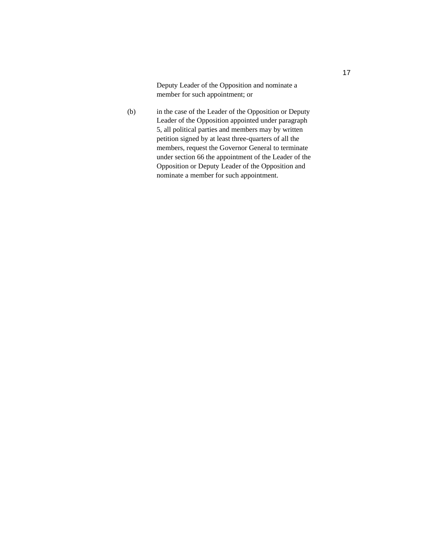Deputy Leader of the Opposition and nominate a member for such appointment; or

(b) in the case of the Leader of the Opposition or Deputy Leader of the Opposition appointed under paragraph 5, all political parties and members may by written petition signed by at least three-quarters of all the members, request the Governor General to terminate under section 66 the appointment of the Leader of the Opposition or Deputy Leader of the Opposition and nominate a member for such appointment.

17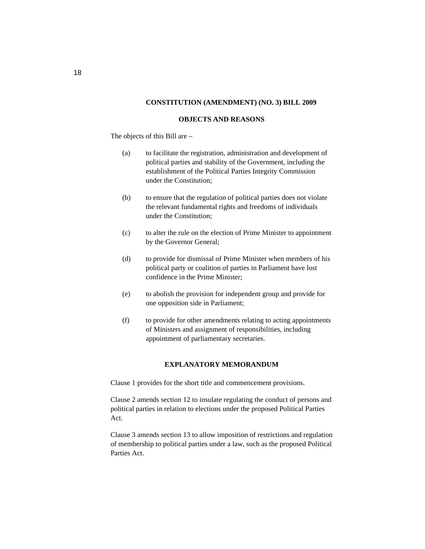### **CONSTITUTION (AMENDMENT) (NO. 3) BILL 2009**

#### **OBJECTS AND REASONS**

The objects of this Bill are –

- (a) to facilitate the registration, administration and development of political parties and stability of the Government, including the establishment of the Political Parties Integrity Commission under the Constitution;
- (b) to ensure that the regulation of political parties does not violate the relevant fundamental rights and freedoms of individuals under the Constitution;
- (c) to alter the rule on the election of Prime Minister to appointment by the Governor General;
- (d) to provide for dismissal of Prime Minister when members of his political party or coalition of parties in Parliament have lost confidence in the Prime Minister;
- (e) to abolish the provision for independent group and provide for one opposition side in Parliament;
- (f) to provide for other amendments relating to acting appointments of Ministers and assignment of responsibilities, including appointment of parliamentary secretaries.

## **EXPLANATORY MEMORANDUM**

Clause 1 provides for the short title and commencement provisions.

Clause 2 amends section 12 to insulate regulating the conduct of persons and political parties in relation to elections under the proposed Political Parties Act.

Clause 3 amends section 13 to allow imposition of restrictions and regulation of membership to political parties under a law, such as the proposed Political Parties Act.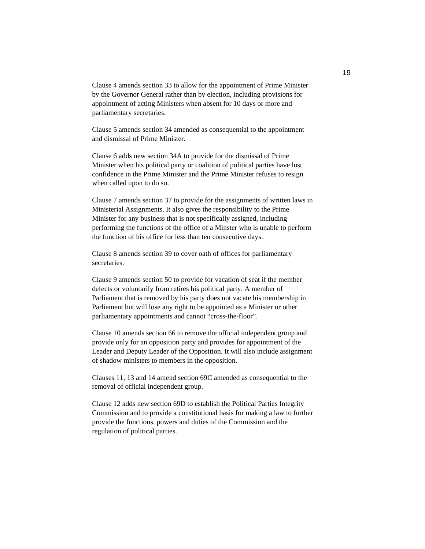Clause 4 amends section 33 to allow for the appointment of Prime Minister by the Governor General rather than by election, including provisions for appointment of acting Ministers when absent for 10 days or more and parliamentary secretaries.

Clause 5 amends section 34 amended as consequential to the appointment and dismissal of Prime Minister.

Clause 6 adds new section 34A to provide for the dismissal of Prime Minister when his political party or coalition of political parties have lost confidence in the Prime Minister and the Prime Minister refuses to resign when called upon to do so.

Clause 7 amends section 37 to provide for the assignments of written laws in Ministerial Assignments. It also gives the responsibility to the Prime Minister for any business that is not specifically assigned, including performing the functions of the office of a Minster who is unable to perform the function of his office for less than ten consecutive days.

Clause 8 amends section 39 to cover oath of offices for parliamentary secretaries.

Clause 9 amends section 50 to provide for vacation of seat if the member defects or voluntarily from retires his political party. A member of Parliament that is removed by his party does not vacate his membership in Parliament but will lose any right to be appointed as a Minister or other parliamentary appointments and cannot "cross-the-floor".

Clause 10 amends section 66 to remove the official independent group and provide only for an opposition party and provides for appointment of the Leader and Deputy Leader of the Opposition. It will also include assignment of shadow ministers to members in the opposition.

Clauses 11, 13 and 14 amend section 69C amended as consequential to the removal of official independent group.

Clause 12 adds new section 69D to establish the Political Parties Integrity Commission and to provide a constitutional basis for making a law to further provide the functions, powers and duties of the Commission and the regulation of political parties.